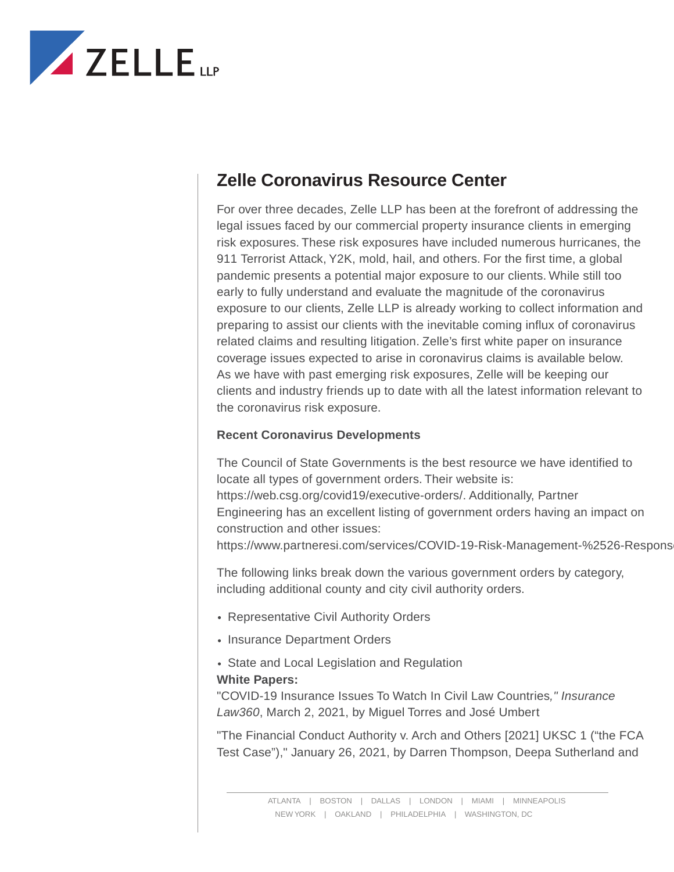

## **Zelle Coronavirus Resource Center**

For over three decades, Zelle LLP has been at the forefront of addressing the legal issues faced by our commercial property insurance clients in emerging risk exposures. These risk exposures have included numerous hurricanes, the 911 Terrorist Attack, Y2K, mold, hail, and others. For the first time, a global pandemic presents a potential major exposure to our clients. While still too early to fully understand and evaluate the magnitude of the coronavirus exposure to our clients, Zelle LLP is already working to collect information and preparing to assist our clients with the inevitable coming influx of coronavirus related claims and resulting litigation. Zelle's first white paper on insurance coverage issues expected to arise in coronavirus claims is available below. As we have with past emerging risk exposures, Zelle will be keeping our clients and industry friends up to date with all the latest information relevant to the coronavirus risk exposure.

## **Recent Coronavirus Developments**

The Council of State Governments is the best resource we have identified to locate all types of government orders. Their website is: https://web.csg.org/covid19/executive-orders/. Additionally, Partner Engineering has an excellent listing of government orders having an impact on construction and other issues:

https://www.partneresi.com/services/COVID-19-Risk-Management-%2526-Respons

The following links break down the various government orders by category, including additional county and city civil authority orders.

- Representative Civil Authority Orders
- Insurance Department Orders
- State and Local Legislation and Regulation **White Papers:**

"COVID-19 Insurance Issues To Watch In Civil Law Countries*," Insurance Law360*, March 2, 2021, by Miguel Torres and José Umbert

"The Financial Conduct Authority v. Arch and Others [2021] UKSC 1 ("the FCA Test Case")," January 26, 2021, by Darren Thompson, Deepa Sutherland and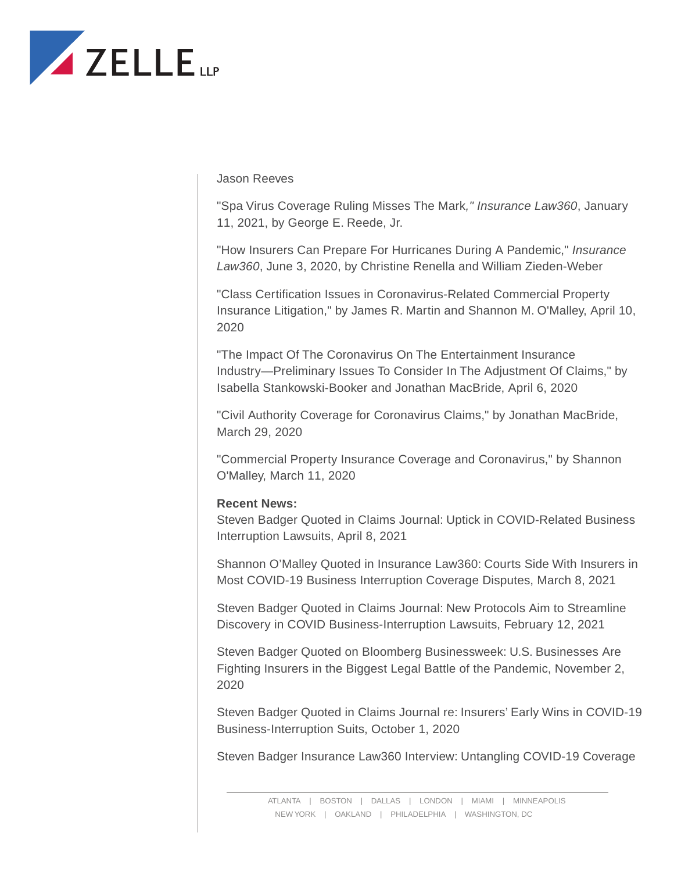

Jason Reeves

"Spa Virus Coverage Ruling Misses The Mark*," Insurance Law360*, January 11, 2021, by George E. Reede, Jr.

"How Insurers Can Prepare For Hurricanes During A Pandemic," *Insurance Law360*, June 3, 2020, by Christine Renella and William Zieden-Weber

"Class Certification Issues in Coronavirus-Related Commercial Property Insurance Litigation," by James R. Martin and Shannon M. O'Malley, April 10, 2020

"The Impact Of The Coronavirus On The Entertainment Insurance Industry—Preliminary Issues To Consider In The Adjustment Of Claims," by Isabella Stankowski-Booker and Jonathan MacBride, April 6, 2020

"Civil Authority Coverage for Coronavirus Claims," by Jonathan MacBride, March 29, 2020

"Commercial Property Insurance Coverage and Coronavirus," by Shannon O'Malley, March 11, 2020

## **Recent News:**

Steven Badger Quoted in Claims Journal: Uptick in COVID-Related Business Interruption Lawsuits, April 8, 2021

Shannon O'Malley Quoted in Insurance Law360: Courts Side With Insurers in Most COVID-19 Business Interruption Coverage Disputes, March 8, 2021

Steven Badger Quoted in Claims Journal: New Protocols Aim to Streamline Discovery in COVID Business-Interruption Lawsuits, February 12, 2021

Steven Badger Quoted on Bloomberg Businessweek: U.S. Businesses Are Fighting Insurers in the Biggest Legal Battle of the Pandemic, November 2, 2020

Steven Badger Quoted in Claims Journal re: Insurers' Early Wins in COVID-19 Business-Interruption Suits, October 1, 2020

Steven Badger Insurance Law360 Interview: Untangling COVID-19 Coverage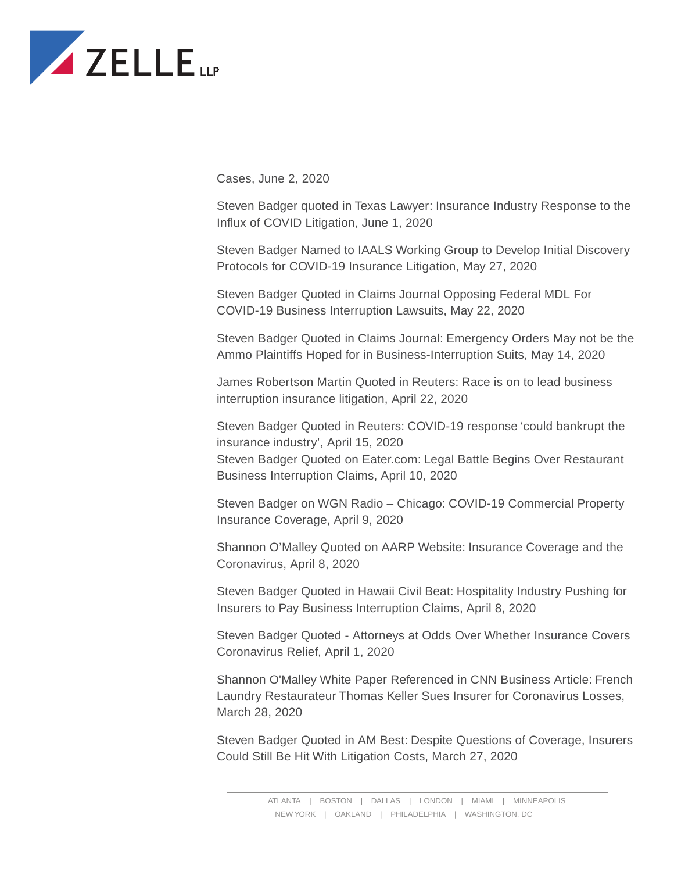

Cases, June 2, 2020

Steven Badger quoted in Texas Lawyer: Insurance Industry Response to the Influx of COVID Litigation, June 1, 2020

Steven Badger Named to IAALS Working Group to Develop Initial Discovery Protocols for COVID-19 Insurance Litigation, May 27, 2020

Steven Badger Quoted in Claims Journal Opposing Federal MDL For COVID-19 Business Interruption Lawsuits, May 22, 2020

Steven Badger Quoted in Claims Journal: Emergency Orders May not be the Ammo Plaintiffs Hoped for in Business-Interruption Suits, May 14, 2020

James Robertson Martin Quoted in Reuters: Race is on to lead business interruption insurance litigation, April 22, 2020

Steven Badger Quoted in Reuters: COVID-19 response 'could bankrupt the insurance industry', April 15, 2020 Steven Badger Quoted on Eater.com: Legal Battle Begins Over Restaurant Business Interruption Claims, April 10, 2020

Steven Badger on WGN Radio – Chicago: COVID-19 Commercial Property Insurance Coverage, April 9, 2020

Shannon O'Malley Quoted on AARP Website: Insurance Coverage and the Coronavirus, April 8, 2020

Steven Badger Quoted in Hawaii Civil Beat: Hospitality Industry Pushing for Insurers to Pay Business Interruption Claims, April 8, 2020

Steven Badger Quoted - Attorneys at Odds Over Whether Insurance Covers Coronavirus Relief, April 1, 2020

Shannon O'Malley White Paper Referenced in CNN Business Article: French Laundry Restaurateur Thomas Keller Sues Insurer for Coronavirus Losses, March 28, 2020

Steven Badger Quoted in AM Best: Despite Questions of Coverage, Insurers Could Still Be Hit With Litigation Costs, March 27, 2020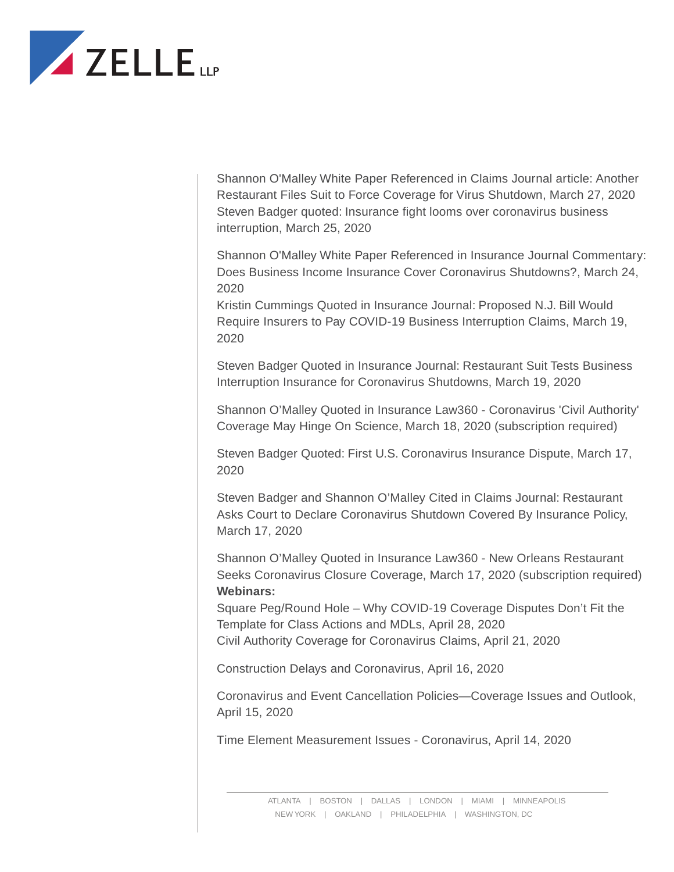

Shannon O'Malley White Paper Referenced in Claims Journal article: Another Restaurant Files Suit to Force Coverage for Virus Shutdown, March 27, 2020 Steven Badger quoted: Insurance fight looms over coronavirus business interruption, March 25, 2020

Shannon O'Malley White Paper Referenced in Insurance Journal Commentary: Does Business Income Insurance Cover Coronavirus Shutdowns?, March 24, 2020

Kristin Cummings Quoted in Insurance Journal: Proposed N.J. Bill Would Require Insurers to Pay COVID-19 Business Interruption Claims, March 19, 2020

Steven Badger Quoted in Insurance Journal: Restaurant Suit Tests Business Interruption Insurance for Coronavirus Shutdowns, March 19, 2020

Shannon O'Malley Quoted in Insurance Law360 - Coronavirus 'Civil Authority' Coverage May Hinge On Science, March 18, 2020 (subscription required)

Steven Badger Quoted: First U.S. Coronavirus Insurance Dispute, March 17, 2020

Steven Badger and Shannon O'Malley Cited in Claims Journal: Restaurant Asks Court to Declare Coronavirus Shutdown Covered By Insurance Policy, March 17, 2020

Shannon O'Malley Quoted in Insurance Law360 - New Orleans Restaurant Seeks Coronavirus Closure Coverage, March 17, 2020 (subscription required) **Webinars:**

Square Peg/Round Hole – Why COVID-19 Coverage Disputes Don't Fit the Template for Class Actions and MDLs, April 28, 2020 Civil Authority Coverage for Coronavirus Claims, April 21, 2020

Construction Delays and Coronavirus, April 16, 2020

Coronavirus and Event Cancellation Policies—Coverage Issues and Outlook, April 15, 2020

Time Element Measurement Issues - Coronavirus, April 14, 2020